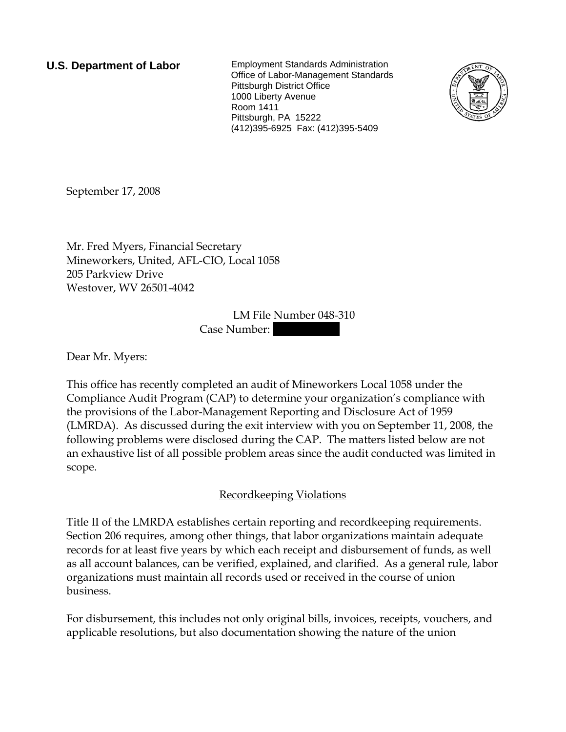**U.S. Department of Labor** Employment Standards Administration Office of Labor-Management Standards Pittsburgh District Office 1000 Liberty Avenue Room 1411 Pittsburgh, PA 15222 (412)395-6925 Fax: (412)395-5409



September 17, 2008

Mr. Fred Myers, Financial Secretary Mineworkers, United, AFL-CIO, Local 1058 205 Parkview Drive Westover, WV 26501-4042

> LM File Number 048-310 Case Number:

Dear Mr. Myers:

This office has recently completed an audit of Mineworkers Local 1058 under the Compliance Audit Program (CAP) to determine your organization's compliance with the provisions of the Labor-Management Reporting and Disclosure Act of 1959 (LMRDA). As discussed during the exit interview with you on September 11, 2008, the following problems were disclosed during the CAP. The matters listed below are not an exhaustive list of all possible problem areas since the audit conducted was limited in scope.

## Recordkeeping Violations

Title II of the LMRDA establishes certain reporting and recordkeeping requirements. Section 206 requires, among other things, that labor organizations maintain adequate records for at least five years by which each receipt and disbursement of funds, as well as all account balances, can be verified, explained, and clarified. As a general rule, labor organizations must maintain all records used or received in the course of union business.

For disbursement, this includes not only original bills, invoices, receipts, vouchers, and applicable resolutions, but also documentation showing the nature of the union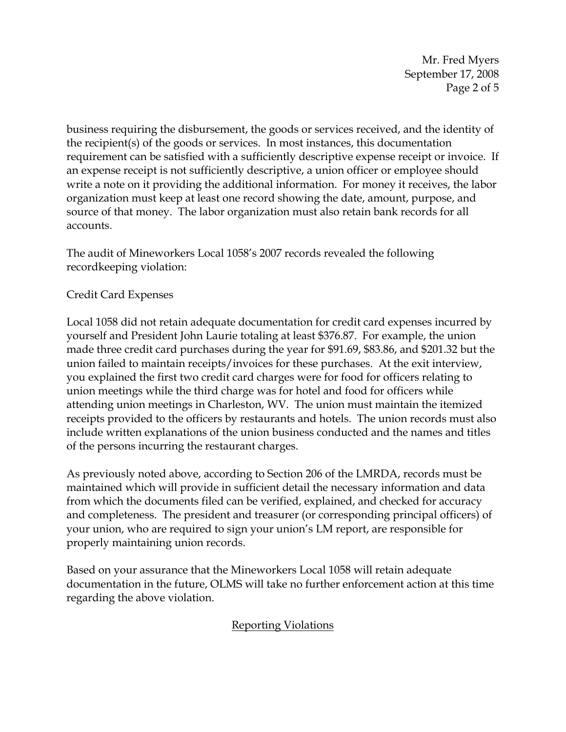Mr. Fred Myers September 17, 2008 Page 2 of 5

business requiring the disbursement, the goods or services received, and the identity of the recipient(s) of the goods or services. In most instances, this documentation requirement can be satisfied with a sufficiently descriptive expense receipt or invoice. If an expense receipt is not sufficiently descriptive, a union officer or employee should write a note on it providing the additional information. For money it receives, the labor organization must keep at least one record showing the date, amount, purpose, and source of that money. The labor organization must also retain bank records for all accounts.

The audit of Mineworkers Local 1058's 2007 records revealed the following recordkeeping violation:

## Credit Card Expenses

Local 1058 did not retain adequate documentation for credit card expenses incurred by yourself and President John Laurie totaling at least \$376.87. For example, the union made three credit card purchases during the year for \$91.69, \$83.86, and \$201.32 but the union failed to maintain receipts/invoices for these purchases. At the exit interview, you explained the first two credit card charges were for food for officers relating to union meetings while the third charge was for hotel and food for officers while attending union meetings in Charleston, WV. The union must maintain the itemized receipts provided to the officers by restaurants and hotels. The union records must also include written explanations of the union business conducted and the names and titles of the persons incurring the restaurant charges.

As previously noted above, according to Section 206 of the LMRDA, records must be maintained which will provide in sufficient detail the necessary information and data from which the documents filed can be verified, explained, and checked for accuracy and completeness. The president and treasurer (or corresponding principal officers) of your union, who are required to sign your union's LM report, are responsible for properly maintaining union records.

Based on your assurance that the Mineworkers Local 1058 will retain adequate documentation in the future, OLMS will take no further enforcement action at this time regarding the above violation.

## Reporting Violations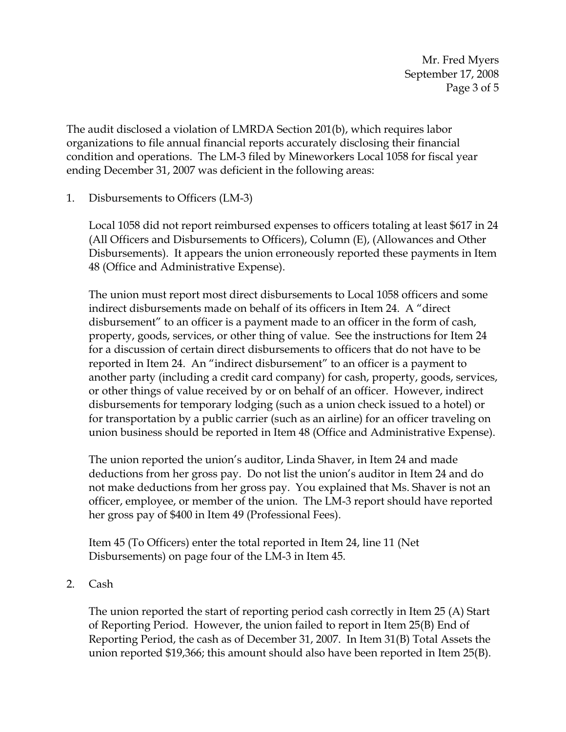Mr. Fred Myers September 17, 2008 Page 3 of 5

The audit disclosed a violation of LMRDA Section 201(b), which requires labor organizations to file annual financial reports accurately disclosing their financial condition and operations. The LM-3 filed by Mineworkers Local 1058 for fiscal year ending December 31, 2007 was deficient in the following areas:

1. Disbursements to Officers (LM-3)

Local 1058 did not report reimbursed expenses to officers totaling at least \$617 in 24 (All Officers and Disbursements to Officers), Column (E), (Allowances and Other Disbursements). It appears the union erroneously reported these payments in Item 48 (Office and Administrative Expense).

The union must report most direct disbursements to Local 1058 officers and some indirect disbursements made on behalf of its officers in Item 24. A "direct disbursement" to an officer is a payment made to an officer in the form of cash, property, goods, services, or other thing of value. See the instructions for Item 24 for a discussion of certain direct disbursements to officers that do not have to be reported in Item 24. An "indirect disbursement" to an officer is a payment to another party (including a credit card company) for cash, property, goods, services, or other things of value received by or on behalf of an officer. However, indirect disbursements for temporary lodging (such as a union check issued to a hotel) or for transportation by a public carrier (such as an airline) for an officer traveling on union business should be reported in Item 48 (Office and Administrative Expense).

The union reported the union's auditor, Linda Shaver, in Item 24 and made deductions from her gross pay. Do not list the union's auditor in Item 24 and do not make deductions from her gross pay. You explained that Ms. Shaver is not an officer, employee, or member of the union. The LM-3 report should have reported her gross pay of \$400 in Item 49 (Professional Fees).

Item 45 (To Officers) enter the total reported in Item 24, line 11 (Net Disbursements) on page four of the LM-3 in Item 45.

2. Cash

The union reported the start of reporting period cash correctly in Item 25 (A) Start of Reporting Period. However, the union failed to report in Item 25(B) End of Reporting Period, the cash as of December 31, 2007. In Item 31(B) Total Assets the union reported \$19,366; this amount should also have been reported in Item 25(B).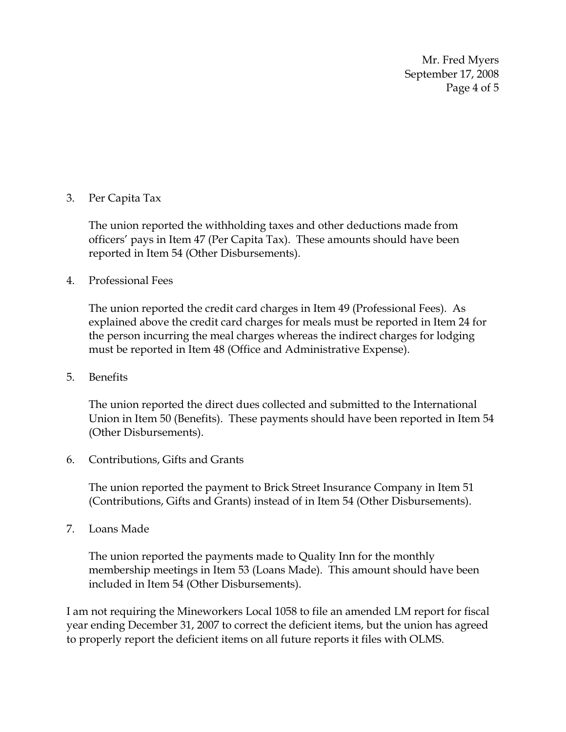Mr. Fred Myers September 17, 2008 Page 4 of 5

## 3. Per Capita Tax

The union reported the withholding taxes and other deductions made from officers' pays in Item 47 (Per Capita Tax). These amounts should have been reported in Item 54 (Other Disbursements).

4. Professional Fees

The union reported the credit card charges in Item 49 (Professional Fees). As explained above the credit card charges for meals must be reported in Item 24 for the person incurring the meal charges whereas the indirect charges for lodging must be reported in Item 48 (Office and Administrative Expense).

5. Benefits

The union reported the direct dues collected and submitted to the International Union in Item 50 (Benefits). These payments should have been reported in Item 54 (Other Disbursements).

6. Contributions, Gifts and Grants

The union reported the payment to Brick Street Insurance Company in Item 51 (Contributions, Gifts and Grants) instead of in Item 54 (Other Disbursements).

7. Loans Made

The union reported the payments made to Quality Inn for the monthly membership meetings in Item 53 (Loans Made). This amount should have been included in Item 54 (Other Disbursements).

I am not requiring the Mineworkers Local 1058 to file an amended LM report for fiscal year ending December 31, 2007 to correct the deficient items, but the union has agreed to properly report the deficient items on all future reports it files with OLMS.